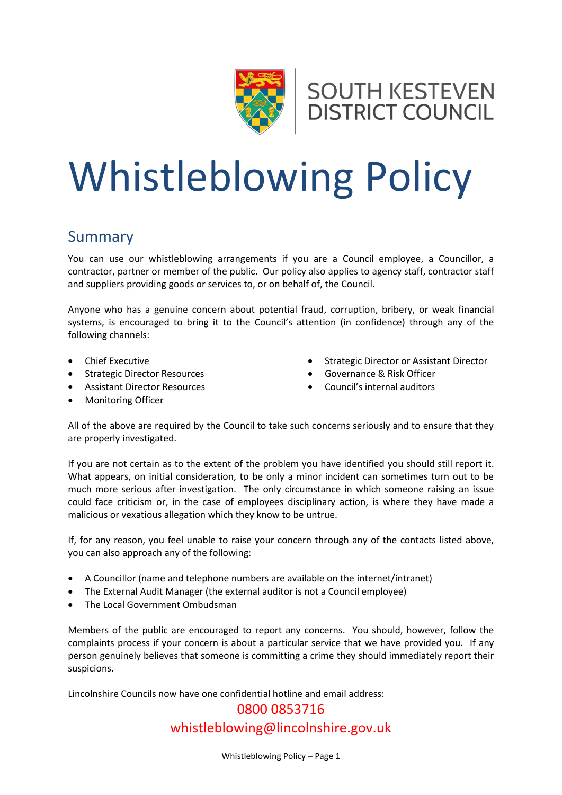



# Whistleblowing Policy

#### Summary

You can use our whistleblowing arrangements if you are a Council employee, a Councillor, a contractor, partner or member of the public. Our policy also applies to agency staff, contractor staff and suppliers providing goods or services to, or on behalf of, the Council.

Anyone who has a genuine concern about potential fraud, corruption, bribery, or weak financial systems, is encouraged to bring it to the Council's attention (in confidence) through any of the following channels:

- Chief Executive
- Strategic Director Resources
- Assistant Director Resources
- Monitoring Officer
- **•** Strategic Director or Assistant Director
- Governance & Risk Officer
- Council's internal auditors

All of the above are required by the Council to take such concerns seriously and to ensure that they are properly investigated.

If you are not certain as to the extent of the problem you have identified you should still report it. What appears, on initial consideration, to be only a minor incident can sometimes turn out to be much more serious after investigation. The only circumstance in which someone raising an issue could face criticism or, in the case of employees disciplinary action, is where they have made a malicious or vexatious allegation which they know to be untrue.

If, for any reason, you feel unable to raise your concern through any of the contacts listed above, you can also approach any of the following:

- A Councillor (name and telephone numbers are available on the internet/intranet)
- The External Audit Manager (the external auditor is not a Council employee)
- The Local Government Ombudsman

Members of the public are encouraged to report any concerns. You should, however, follow the complaints process if your concern is about a particular service that we have provided you. If any person genuinely believes that someone is committing a crime they should immediately report their suspicions.

Lincolnshire Councils now have one confidential hotline and email address:

## 0800 0853716 [whistleblowing@lincolnshire.gov.uk](mailto:whistleblowing@lincolnshire.gov.uk)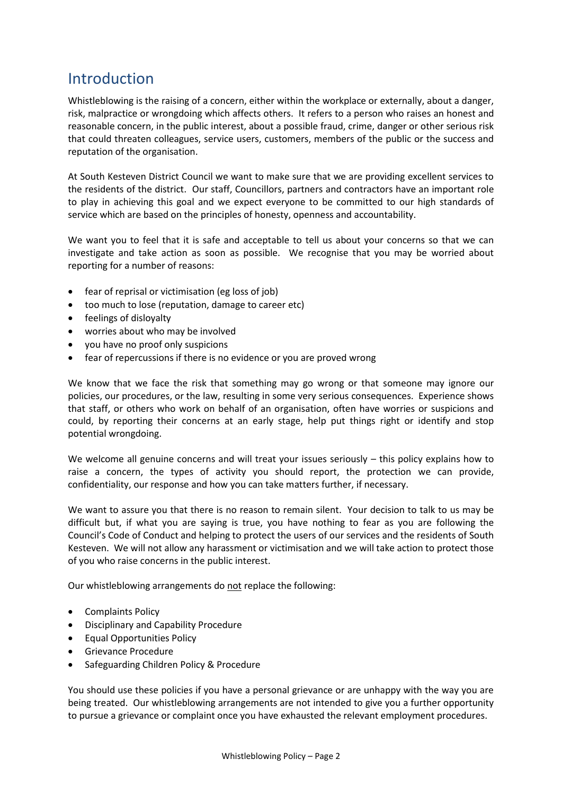## Introduction

Whistleblowing is the raising of a concern, either within the workplace or externally, about a danger, risk, malpractice or wrongdoing which affects others. It refers to a person who raises an honest and reasonable concern, in the public interest, about a possible fraud, crime, danger or other serious risk that could threaten colleagues, service users, customers, members of the public or the success and reputation of the organisation.

At South Kesteven District Council we want to make sure that we are providing excellent services to the residents of the district. Our staff, Councillors, partners and contractors have an important role to play in achieving this goal and we expect everyone to be committed to our high standards of service which are based on the principles of honesty, openness and accountability.

We want you to feel that it is safe and acceptable to tell us about your concerns so that we can investigate and take action as soon as possible. We recognise that you may be worried about reporting for a number of reasons:

- fear of reprisal or victimisation (eg loss of job)
- too much to lose (reputation, damage to career etc)
- feelings of disloyalty
- worries about who may be involved
- you have no proof only suspicions
- fear of repercussions if there is no evidence or you are proved wrong

We know that we face the risk that something may go wrong or that someone may ignore our policies, our procedures, or the law, resulting in some very serious consequences. Experience shows that staff, or others who work on behalf of an organisation, often have worries or suspicions and could, by reporting their concerns at an early stage, help put things right or identify and stop potential wrongdoing.

We welcome all genuine concerns and will treat your issues seriously – this policy explains how to raise a concern, the types of activity you should report, the protection we can provide, confidentiality, our response and how you can take matters further, if necessary.

We want to assure you that there is no reason to remain silent. Your decision to talk to us may be difficult but, if what you are saying is true, you have nothing to fear as you are following the Council's Code of Conduct and helping to protect the users of our services and the residents of South Kesteven. We will not allow any harassment or victimisation and we will take action to protect those of you who raise concerns in the public interest.

Our whistleblowing arrangements do not replace the following:

- Complaints Policy
- Disciplinary and Capability Procedure
- Equal Opportunities Policy
- **•** Grievance Procedure
- Safeguarding Children Policy & Procedure

You should use these policies if you have a personal grievance or are unhappy with the way you are being treated. Our whistleblowing arrangements are not intended to give you a further opportunity to pursue a grievance or complaint once you have exhausted the relevant employment procedures.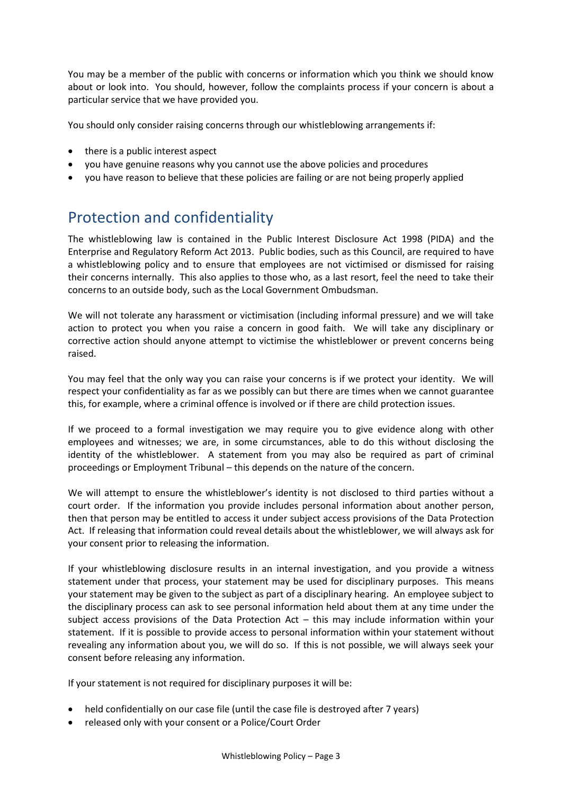You may be a member of the public with concerns or information which you think we should know about or look into. You should, however, follow the complaints process if your concern is about a particular service that we have provided you.

You should only consider raising concerns through our whistleblowing arrangements if:

- there is a public interest aspect
- you have genuine reasons why you cannot use the above policies and procedures
- you have reason to believe that these policies are failing or are not being properly applied

### Protection and confidentiality

The whistleblowing law is contained in the Public Interest Disclosure Act 1998 (PIDA) and the Enterprise and Regulatory Reform Act 2013. Public bodies, such as this Council, are required to have a whistleblowing policy and to ensure that employees are not victimised or dismissed for raising their concerns internally. This also applies to those who, as a last resort, feel the need to take their concerns to an outside body, such as the Local Government Ombudsman.

We will not tolerate any harassment or victimisation (including informal pressure) and we will take action to protect you when you raise a concern in good faith. We will take any disciplinary or corrective action should anyone attempt to victimise the whistleblower or prevent concerns being raised.

You may feel that the only way you can raise your concerns is if we protect your identity. We will respect your confidentiality as far as we possibly can but there are times when we cannot guarantee this, for example, where a criminal offence is involved or if there are child protection issues.

If we proceed to a formal investigation we may require you to give evidence along with other employees and witnesses; we are, in some circumstances, able to do this without disclosing the identity of the whistleblower. A statement from you may also be required as part of criminal proceedings or Employment Tribunal – this depends on the nature of the concern.

We will attempt to ensure the whistleblower's identity is not disclosed to third parties without a court order. If the information you provide includes personal information about another person, then that person may be entitled to access it under subject access provisions of the Data Protection Act. If releasing that information could reveal details about the whistleblower, we will always ask for your consent prior to releasing the information.

If your whistleblowing disclosure results in an internal investigation, and you provide a witness statement under that process, your statement may be used for disciplinary purposes. This means your statement may be given to the subject as part of a disciplinary hearing. An employee subject to the disciplinary process can ask to see personal information held about them at any time under the subject access provisions of the Data Protection Act – this may include information within your statement. If it is possible to provide access to personal information within your statement without revealing any information about you, we will do so. If this is not possible, we will always seek your consent before releasing any information.

If your statement is not required for disciplinary purposes it will be:

- held confidentially on our case file (until the case file is destroyed after 7 years)
- released only with your consent or a Police/Court Order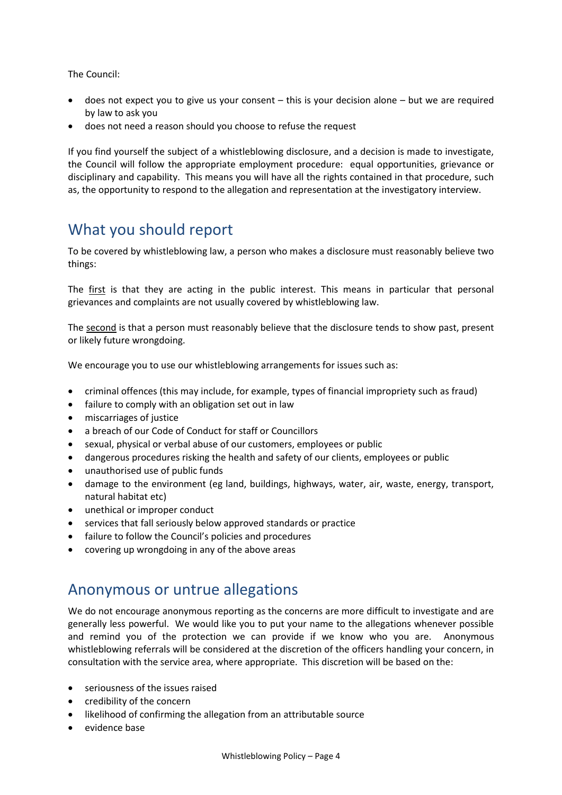The Council:

- $\bullet$  does not expect you to give us your consent this is your decision alone but we are required by law to ask you
- does not need a reason should you choose to refuse the request

If you find yourself the subject of a whistleblowing disclosure, and a decision is made to investigate, the Council will follow the appropriate employment procedure: equal opportunities, grievance or disciplinary and capability. This means you will have all the rights contained in that procedure, such as, the opportunity to respond to the allegation and representation at the investigatory interview.

#### What you should report

To be covered by whistleblowing law, a person who makes a disclosure must reasonably believe two things:

The first is that they are acting in the public interest. This means in particular that personal grievances and complaints are not usually covered by whistleblowing law.

The second is that a person must reasonably believe that the disclosure tends to show past, present or likely future wrongdoing.

We encourage you to use our whistleblowing arrangements for issues such as:

- criminal offences (this may include, for example, types of financial impropriety such as fraud)
- failure to comply with an obligation set out in law
- miscarriages of justice
- a breach of our Code of Conduct for staff or Councillors
- sexual, physical or verbal abuse of our customers, employees or public
- dangerous procedures risking the health and safety of our clients, employees or public
- unauthorised use of public funds
- damage to the environment (eg land, buildings, highways, water, air, waste, energy, transport, natural habitat etc)
- unethical or improper conduct
- services that fall seriously below approved standards or practice
- failure to follow the Council's policies and procedures
- covering up wrongdoing in any of the above areas

#### Anonymous or untrue allegations

We do not encourage anonymous reporting as the concerns are more difficult to investigate and are generally less powerful. We would like you to put your name to the allegations whenever possible and remind you of the protection we can provide if we know who you are. Anonymous whistleblowing referrals will be considered at the discretion of the officers handling your concern, in consultation with the service area, where appropriate. This discretion will be based on the:

- seriousness of the issues raised
- credibility of the concern
- likelihood of confirming the allegation from an attributable source
- evidence base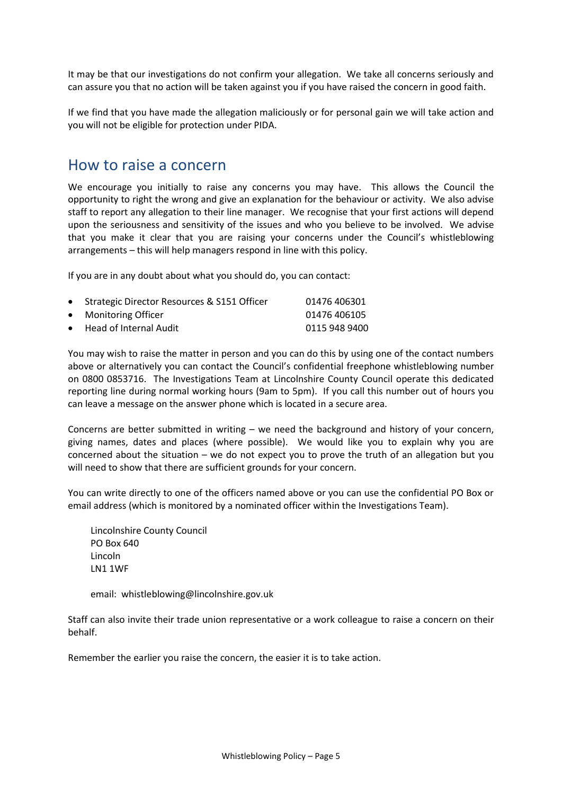It may be that our investigations do not confirm your allegation. We take all concerns seriously and can assure you that no action will be taken against you if you have raised the concern in good faith.

If we find that you have made the allegation maliciously or for personal gain we will take action and you will not be eligible for protection under PIDA.

#### How to raise a concern

We encourage you initially to raise any concerns you may have. This allows the Council the opportunity to right the wrong and give an explanation for the behaviour or activity. We also advise staff to report any allegation to their line manager. We recognise that your first actions will depend upon the seriousness and sensitivity of the issues and who you believe to be involved. We advise that you make it clear that you are raising your concerns under the Council's whistleblowing arrangements – this will help managers respond in line with this policy.

If you are in any doubt about what you should do, you can contact:

| • Strategic Director Resources & S151 Officer | 01476 406301  |
|-----------------------------------------------|---------------|
| • Monitoring Officer                          | 01476 406105  |
| • Head of Internal Audit                      | 0115 948 9400 |

You may wish to raise the matter in person and you can do this by using one of the contact numbers above or alternatively you can contact the Council's confidential freephone whistleblowing number on 0800 0853716. The Investigations Team at Lincolnshire County Council operate this dedicated reporting line during normal working hours (9am to 5pm). If you call this number out of hours you can leave a message on the answer phone which is located in a secure area.

Concerns are better submitted in writing – we need the background and history of your concern, giving names, dates and places (where possible). We would like you to explain why you are concerned about the situation – we do not expect you to prove the truth of an allegation but you will need to show that there are sufficient grounds for your concern.

You can write directly to one of the officers named above or you can use the confidential PO Box or email address (which is monitored by a nominated officer within the Investigations Team).

Lincolnshire County Council PO Box 640 Lincoln LN1 1WF

email: whistleblowing@lincolnshire.gov.uk

Staff can also invite their trade union representative or a work colleague to raise a concern on their behalf.

Remember the earlier you raise the concern, the easier it is to take action.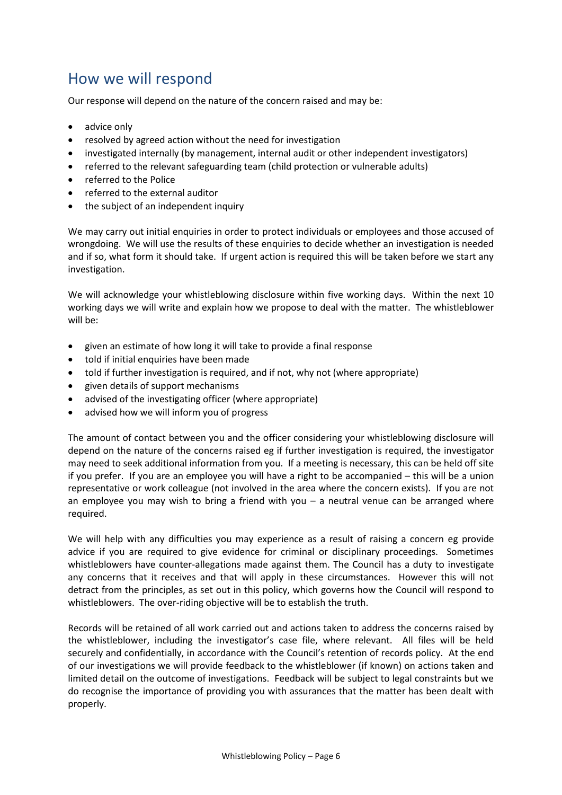## How we will respond

Our response will depend on the nature of the concern raised and may be:

- advice only
- resolved by agreed action without the need for investigation
- investigated internally (by management, internal audit or other independent investigators)
- referred to the relevant safeguarding team (child protection or vulnerable adults)
- referred to the Police
- referred to the external auditor
- the subject of an independent inquiry

We may carry out initial enquiries in order to protect individuals or employees and those accused of wrongdoing. We will use the results of these enquiries to decide whether an investigation is needed and if so, what form it should take. If urgent action is required this will be taken before we start any investigation.

We will acknowledge your whistleblowing disclosure within five working days. Within the next 10 working days we will write and explain how we propose to deal with the matter. The whistleblower will be:

- given an estimate of how long it will take to provide a final response
- told if initial enquiries have been made
- told if further investigation is required, and if not, why not (where appropriate)
- given details of support mechanisms
- advised of the investigating officer (where appropriate)
- advised how we will inform you of progress

The amount of contact between you and the officer considering your whistleblowing disclosure will depend on the nature of the concerns raised eg if further investigation is required, the investigator may need to seek additional information from you. If a meeting is necessary, this can be held off site if you prefer. If you are an employee you will have a right to be accompanied – this will be a union representative or work colleague (not involved in the area where the concern exists). If you are not an employee you may wish to bring a friend with you  $-$  a neutral venue can be arranged where required.

We will help with any difficulties you may experience as a result of raising a concern eg provide advice if you are required to give evidence for criminal or disciplinary proceedings. Sometimes whistleblowers have counter-allegations made against them. The Council has a duty to investigate any concerns that it receives and that will apply in these circumstances. However this will not detract from the principles, as set out in this policy, which governs how the Council will respond to whistleblowers. The over-riding objective will be to establish the truth.

Records will be retained of all work carried out and actions taken to address the concerns raised by the whistleblower, including the investigator's case file, where relevant. All files will be held securely and confidentially, in accordance with the Council's retention of records policy. At the end of our investigations we will provide feedback to the whistleblower (if known) on actions taken and limited detail on the outcome of investigations. Feedback will be subject to legal constraints but we do recognise the importance of providing you with assurances that the matter has been dealt with properly.